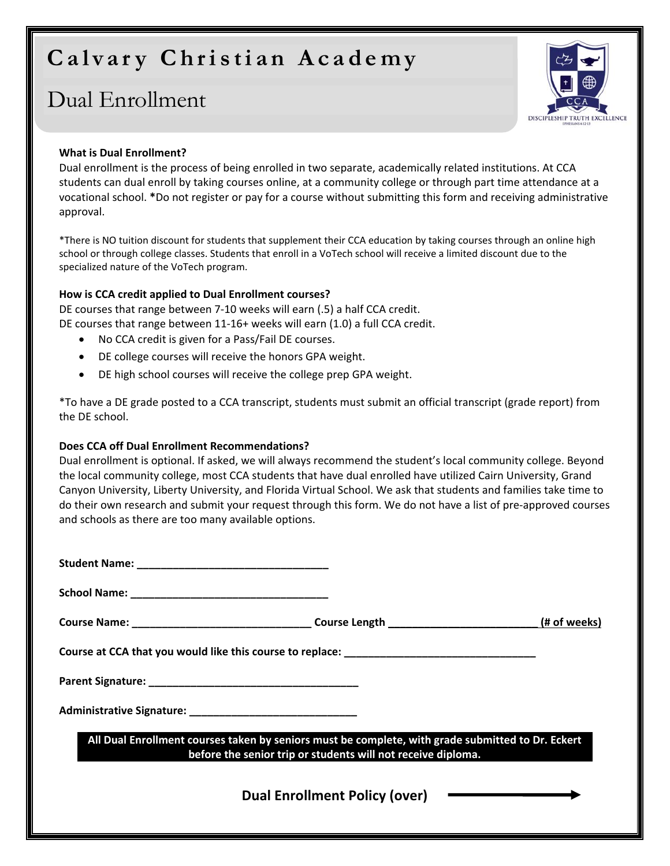# **Calvary Christian Academy**

## Dual Enrollment



#### **What is Dual Enrollment?**

Dual enrollment is the process of being enrolled in two separate, academically related institutions. At CCA students can dual enroll by taking courses online, at a community college or through part time attendance at a vocational school. **\***Do not register or pay for a course without submitting this form and receiving administrative approval.

\*There is NO tuition discount for students that supplement their CCA education by taking courses through an online high school or through college classes. Students that enroll in a VoTech school will receive a limited discount due to the specialized nature of the VoTech program.

#### **How is CCA credit applied to Dual Enrollment courses?**

DE courses that range between 7‐10 weeks will earn (.5) a half CCA credit. DE courses that range between 11‐16+ weeks will earn (1.0) a full CCA credit.

- No CCA credit is given for a Pass/Fail DE courses.
- DE college courses will receive the honors GPA weight.
- DE high school courses will receive the college prep GPA weight.

\*To have a DE grade posted to a CCA transcript, students must submit an official transcript (grade report) from the DE school.

#### **Does CCA off Dual Enrollment Recommendations?**

Dual enrollment is optional. If asked, we will always recommend the student's local community college. Beyond the local community college, most CCA students that have dual enrolled have utilized Cairn University, Grand Canyon University, Liberty University, and Florida Virtual School. We ask that students and families take time to do their own research and submit your request through this form. We do not have a list of pre‐approved courses and schools as there are too many available options.

| All Dual Enrollment courses taken by seniors must be complete, with grade submitted to Dr. Eckert<br>before the senior trip or students will not receive diploma. |  |  |
|-------------------------------------------------------------------------------------------------------------------------------------------------------------------|--|--|
| Dual Enrollment Policy (over) ––––––––––––––––                                                                                                                    |  |  |